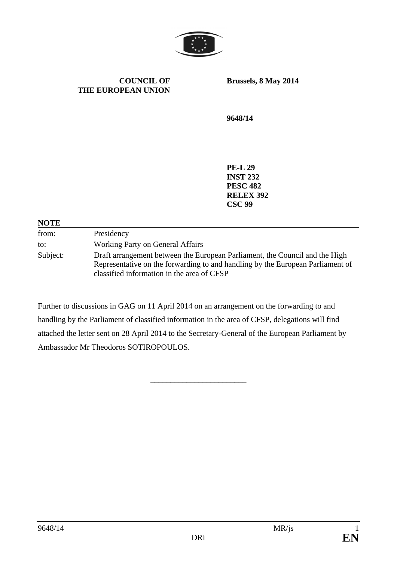

**COUNCIL OF THE EUROPEAN UNION** **Brussels, 8 May 2014** 

**9648/14** 

**PE-L 29 INST 232 PESC 482 RELEX 392 CSC 99** 

## **NOTE**

| from:    | Presidency                                                                                                                                                    |
|----------|---------------------------------------------------------------------------------------------------------------------------------------------------------------|
| to:      | <b>Working Party on General Affairs</b>                                                                                                                       |
| Subject: | Draft arrangement between the European Parliament, the Council and the High<br>Representative on the forwarding to and handling by the European Parliament of |
|          | classified information in the area of CFSP                                                                                                                    |

Further to discussions in GAG on 11 April 2014 on an arrangement on the forwarding to and handling by the Parliament of classified information in the area of CFSP, delegations will find attached the letter sent on 28 April 2014 to the Secretary-General of the European Parliament by Ambassador Mr Theodoros SOTIROPOULOS.

\_\_\_\_\_\_\_\_\_\_\_\_\_\_\_\_\_\_\_\_\_\_\_\_